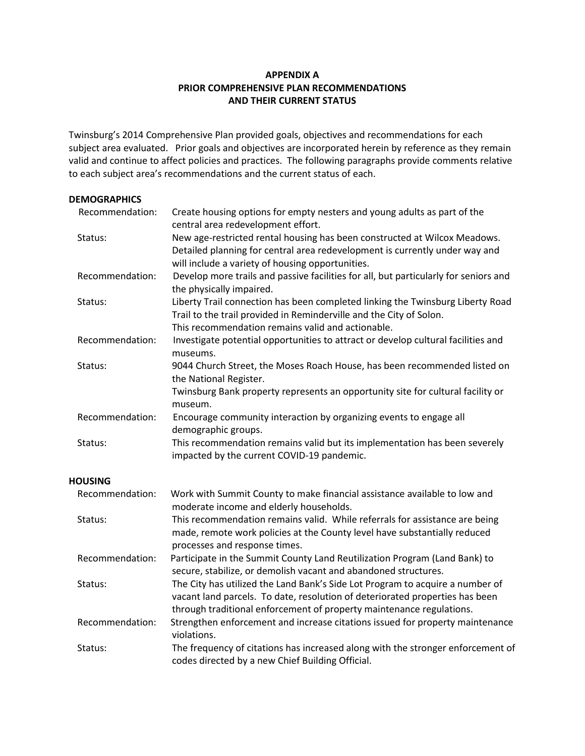## **APPENDIX A PRIOR COMPREHENSIVE PLAN RECOMMENDATIONS AND THEIR CURRENT STATUS**

Twinsburg's 2014 Comprehensive Plan provided goals, objectives and recommendations for each subject area evaluated. Prior goals and objectives are incorporated herein by reference as they remain valid and continue to affect policies and practices. The following paragraphs provide comments relative to each subject area's recommendations and the current status of each.

# **DEMOGRAPHICS**

| Recommendation: | Create housing options for empty nesters and young adults as part of the<br>central area redevelopment effort.                                                                                                                        |
|-----------------|---------------------------------------------------------------------------------------------------------------------------------------------------------------------------------------------------------------------------------------|
| Status:         | New age-restricted rental housing has been constructed at Wilcox Meadows.<br>Detailed planning for central area redevelopment is currently under way and<br>will include a variety of housing opportunities.                          |
| Recommendation: | Develop more trails and passive facilities for all, but particularly for seniors and<br>the physically impaired.                                                                                                                      |
| Status:         | Liberty Trail connection has been completed linking the Twinsburg Liberty Road<br>Trail to the trail provided in Reminderville and the City of Solon.<br>This recommendation remains valid and actionable.                            |
| Recommendation: | Investigate potential opportunities to attract or develop cultural facilities and<br>museums.                                                                                                                                         |
| Status:         | 9044 Church Street, the Moses Roach House, has been recommended listed on<br>the National Register.                                                                                                                                   |
|                 | Twinsburg Bank property represents an opportunity site for cultural facility or<br>museum.                                                                                                                                            |
| Recommendation: | Encourage community interaction by organizing events to engage all<br>demographic groups.                                                                                                                                             |
| Status:         | This recommendation remains valid but its implementation has been severely<br>impacted by the current COVID-19 pandemic.                                                                                                              |
| <b>HOUSING</b>  |                                                                                                                                                                                                                                       |
| Recommendation: | Work with Summit County to make financial assistance available to low and<br>moderate income and elderly households.                                                                                                                  |
| Status:         | This recommendation remains valid. While referrals for assistance are being<br>made, remote work policies at the County level have substantially reduced<br>processes and response times.                                             |
| Recommendation: | Participate in the Summit County Land Reutilization Program (Land Bank) to<br>secure, stabilize, or demolish vacant and abandoned structures.                                                                                         |
| Status:         | The City has utilized the Land Bank's Side Lot Program to acquire a number of<br>vacant land parcels. To date, resolution of deteriorated properties has been<br>through traditional enforcement of property maintenance regulations. |
| Recommendation: | Strengthen enforcement and increase citations issued for property maintenance<br>violations.                                                                                                                                          |
| Status:         | The frequency of citations has increased along with the stronger enforcement of<br>codes directed by a new Chief Building Official.                                                                                                   |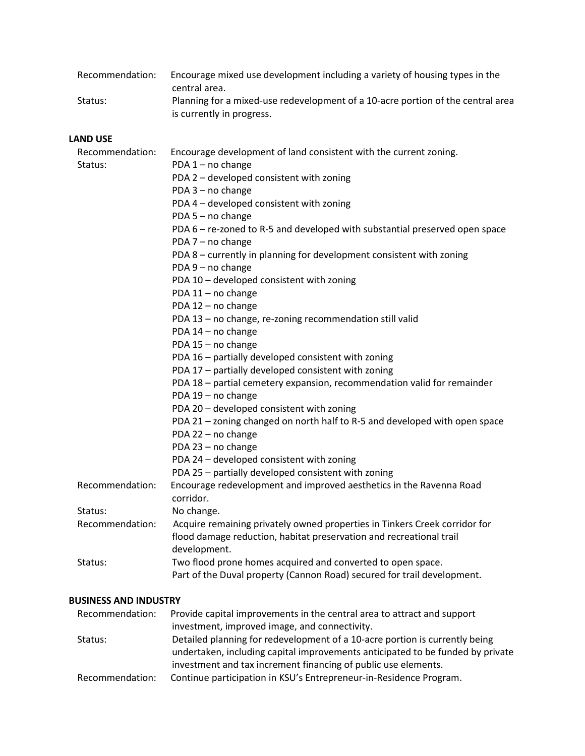| Recommendation: | Encourage mixed use development including a variety of housing types in the<br>central area.                 |
|-----------------|--------------------------------------------------------------------------------------------------------------|
| Status:         | Planning for a mixed-use redevelopment of a 10-acre portion of the central area<br>is currently in progress. |

#### **LAND USE**

| Recommendation: | Encourage development of land consistent with the current zoning.           |
|-----------------|-----------------------------------------------------------------------------|
| Status:         | PDA 1 - no change                                                           |
|                 | PDA 2 - developed consistent with zoning                                    |
|                 | PDA 3 - no change                                                           |
|                 | PDA 4 - developed consistent with zoning                                    |
|                 | PDA 5 - no change                                                           |
|                 | PDA 6 - re-zoned to R-5 and developed with substantial preserved open space |
|                 | PDA 7 - no change                                                           |
|                 | PDA 8 - currently in planning for development consistent with zoning        |
|                 | PDA 9 - no change                                                           |
|                 | PDA 10 - developed consistent with zoning                                   |
|                 | PDA 11 - no change                                                          |
|                 | PDA 12 - no change                                                          |
|                 | PDA 13 - no change, re-zoning recommendation still valid                    |
|                 | PDA 14 - no change                                                          |
|                 | PDA 15 - no change                                                          |
|                 | PDA 16 - partially developed consistent with zoning                         |
|                 | PDA 17 - partially developed consistent with zoning                         |
|                 | PDA 18 - partial cemetery expansion, recommendation valid for remainder     |
|                 | PDA 19 - no change                                                          |
|                 | PDA 20 - developed consistent with zoning                                   |
|                 | PDA 21 - zoning changed on north half to R-5 and developed with open space  |
|                 | PDA 22 - no change                                                          |
|                 | PDA 23 - no change                                                          |
|                 | PDA 24 - developed consistent with zoning                                   |
|                 | PDA 25 - partially developed consistent with zoning                         |
| Recommendation: | Encourage redevelopment and improved aesthetics in the Ravenna Road         |
|                 | corridor.                                                                   |
| Status:         | No change.                                                                  |
| Recommendation: | Acquire remaining privately owned properties in Tinkers Creek corridor for  |
|                 | flood damage reduction, habitat preservation and recreational trail         |
|                 | development.                                                                |
| Status:         | Two flood prone homes acquired and converted to open space.                 |
|                 | Part of the Duval property (Cannon Road) secured for trail development.     |

### **BUSINESS AND INDUSTRY**

| Recommendation: | Provide capital improvements in the central area to attract and support        |
|-----------------|--------------------------------------------------------------------------------|
|                 | investment, improved image, and connectivity.                                  |
| Status:         | Detailed planning for redevelopment of a 10-acre portion is currently being    |
|                 | undertaken, including capital improvements anticipated to be funded by private |
|                 | investment and tax increment financing of public use elements.                 |
| Recommendation: | Continue participation in KSU's Entrepreneur-in-Residence Program.             |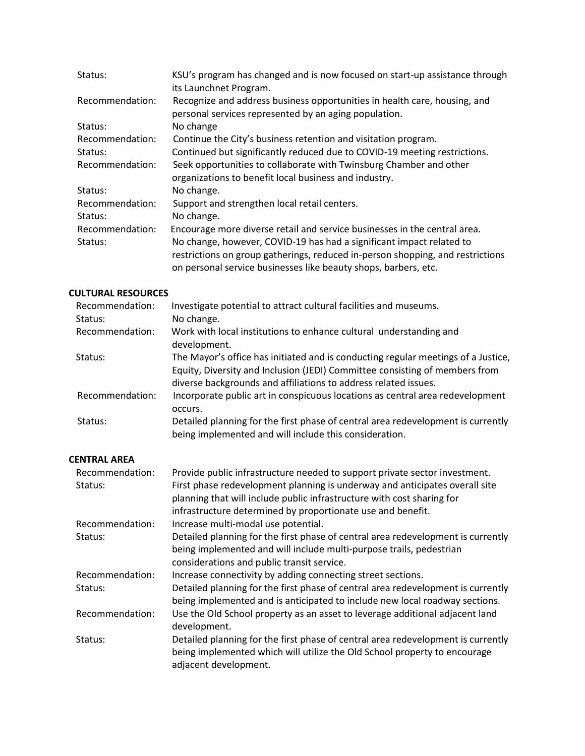| Status:         | KSU's program has changed and is now focused on start-up assistance through<br>its Launchnet Program.                              |
|-----------------|------------------------------------------------------------------------------------------------------------------------------------|
| Recommendation: | Recognize and address business opportunities in health care, housing, and<br>personal services represented by an aging population. |
| Status:         | No change                                                                                                                          |
| Recommendation: | Continue the City's business retention and visitation program.                                                                     |
| Status:         | Continued but significantly reduced due to COVID-19 meeting restrictions.                                                          |
| Recommendation: | Seek opportunities to collaborate with Twinsburg Chamber and other                                                                 |
|                 | organizations to benefit local business and industry.                                                                              |
| Status:         | No change.                                                                                                                         |
| Recommendation: | Support and strengthen local retail centers.                                                                                       |
| Status:         | No change.                                                                                                                         |
| Recommendation: | Encourage more diverse retail and service businesses in the central area.                                                          |
| Status:         | No change, however, COVID-19 has had a significant impact related to                                                               |
|                 | restrictions on group gatherings, reduced in-person shopping, and restrictions                                                     |
|                 | on personal service businesses like beauty shops, barbers, etc.                                                                    |

### **CULTURAL RESOURCES**

| Recommendation:     | Investigate potential to attract cultural facilities and museums.                                                                                                                                                                   |
|---------------------|-------------------------------------------------------------------------------------------------------------------------------------------------------------------------------------------------------------------------------------|
| Status:             | No change.                                                                                                                                                                                                                          |
| Recommendation:     | Work with local institutions to enhance cultural understanding and<br>development.                                                                                                                                                  |
| Status:             | The Mayor's office has initiated and is conducting regular meetings of a Justice,<br>Equity, Diversity and Inclusion (JEDI) Committee consisting of members from<br>diverse backgrounds and affiliations to address related issues. |
| Recommendation:     | Incorporate public art in conspicuous locations as central area redevelopment<br>occurs.                                                                                                                                            |
| Status:             | Detailed planning for the first phase of central area redevelopment is currently<br>being implemented and will include this consideration.                                                                                          |
| <b>CENTRAL AREA</b> |                                                                                                                                                                                                                                     |
| Recommendation:     | Provide public infrastructure needed to support private sector investment.                                                                                                                                                          |

| Recommendation: | Provide public infrastructure needed to support private sector investment.       |
|-----------------|----------------------------------------------------------------------------------|
| Status:         | First phase redevelopment planning is underway and anticipates overall site      |
|                 | planning that will include public infrastructure with cost sharing for           |
|                 | infrastructure determined by proportionate use and benefit.                      |
| Recommendation: | Increase multi-modal use potential.                                              |
| Status:         | Detailed planning for the first phase of central area redevelopment is currently |
|                 | being implemented and will include multi-purpose trails, pedestrian              |
|                 | considerations and public transit service.                                       |
| Recommendation: | Increase connectivity by adding connecting street sections.                      |
| Status:         | Detailed planning for the first phase of central area redevelopment is currently |
|                 | being implemented and is anticipated to include new local roadway sections.      |
| Recommendation: | Use the Old School property as an asset to leverage additional adjacent land     |
|                 | development.                                                                     |
| Status:         | Detailed planning for the first phase of central area redevelopment is currently |
|                 | being implemented which will utilize the Old School property to encourage        |
|                 | adjacent development.                                                            |
|                 |                                                                                  |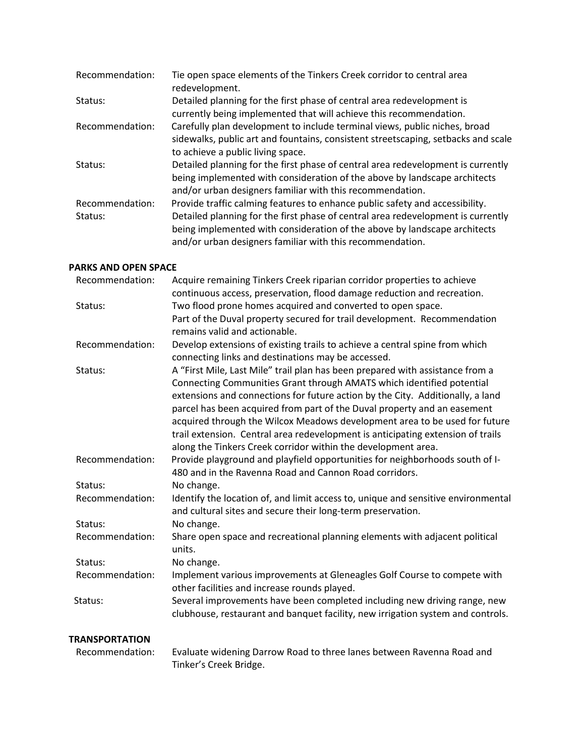| Recommendation: | Tie open space elements of the Tinkers Creek corridor to central area<br>redevelopment.                                                                                                                                    |
|-----------------|----------------------------------------------------------------------------------------------------------------------------------------------------------------------------------------------------------------------------|
| Status:         | Detailed planning for the first phase of central area redevelopment is<br>currently being implemented that will achieve this recommendation.                                                                               |
| Recommendation: | Carefully plan development to include terminal views, public niches, broad<br>sidewalks, public art and fountains, consistent streetscaping, setbacks and scale<br>to achieve a public living space.                       |
| Status:         | Detailed planning for the first phase of central area redevelopment is currently<br>being implemented with consideration of the above by landscape architects<br>and/or urban designers familiar with this recommendation. |
| Recommendation: | Provide traffic calming features to enhance public safety and accessibility.                                                                                                                                               |
| Status:         | Detailed planning for the first phase of central area redevelopment is currently<br>being implemented with consideration of the above by landscape architects<br>and/or urban designers familiar with this recommendation. |

#### **PARKS AND OPEN SPACE**

| Recommendation:                    | Acquire remaining Tinkers Creek riparian corridor properties to achieve           |
|------------------------------------|-----------------------------------------------------------------------------------|
|                                    | continuous access, preservation, flood damage reduction and recreation.           |
| Status:                            | Two flood prone homes acquired and converted to open space.                       |
|                                    | Part of the Duval property secured for trail development. Recommendation          |
|                                    | remains valid and actionable.                                                     |
| Recommendation:                    | Develop extensions of existing trails to achieve a central spine from which       |
|                                    | connecting links and destinations may be accessed.                                |
| Status:                            | A "First Mile, Last Mile" trail plan has been prepared with assistance from a     |
|                                    | Connecting Communities Grant through AMATS which identified potential             |
|                                    | extensions and connections for future action by the City. Additionally, a land    |
|                                    | parcel has been acquired from part of the Duval property and an easement          |
|                                    | acquired through the Wilcox Meadows development area to be used for future        |
|                                    | trail extension. Central area redevelopment is anticipating extension of trails   |
|                                    | along the Tinkers Creek corridor within the development area.                     |
| Recommendation:                    | Provide playground and playfield opportunities for neighborhoods south of I-      |
|                                    | 480 and in the Ravenna Road and Cannon Road corridors.                            |
| Status:                            | No change.                                                                        |
| Recommendation:                    | Identify the location of, and limit access to, unique and sensitive environmental |
|                                    | and cultural sites and secure their long-term preservation.                       |
| Status:                            | No change.                                                                        |
| Recommendation:                    | Share open space and recreational planning elements with adjacent political       |
|                                    | units.                                                                            |
| Status:                            | No change.                                                                        |
| Recommendation:                    | Implement various improvements at Gleneagles Golf Course to compete with          |
|                                    | other facilities and increase rounds played.                                      |
| Status:                            | Several improvements have been completed including new driving range, new         |
|                                    | clubhouse, restaurant and banquet facility, new irrigation system and controls.   |
| <b>TRANSPORTATION</b>              |                                                                                   |
| والمراجر فالقاط والمراجح الممراجات | Fuelunto utidonian Domeur Bood to theory longs leaturean Bouques Bood and         |

 Recommendation: Evaluate widening Darrow Road to three lanes between Ravenna Road and Tinker's Creek Bridge.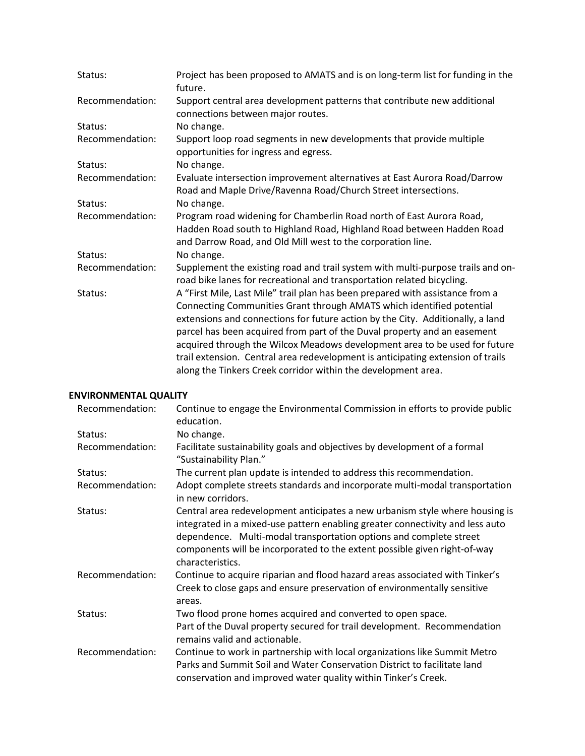| Project has been proposed to AMATS and is on long-term list for funding in the<br>future.                                                                                                                                                                                                                                                                                                                                                                                                                                                              |
|--------------------------------------------------------------------------------------------------------------------------------------------------------------------------------------------------------------------------------------------------------------------------------------------------------------------------------------------------------------------------------------------------------------------------------------------------------------------------------------------------------------------------------------------------------|
| Support central area development patterns that contribute new additional<br>connections between major routes.                                                                                                                                                                                                                                                                                                                                                                                                                                          |
| No change.                                                                                                                                                                                                                                                                                                                                                                                                                                                                                                                                             |
| Support loop road segments in new developments that provide multiple<br>opportunities for ingress and egress.                                                                                                                                                                                                                                                                                                                                                                                                                                          |
| No change.                                                                                                                                                                                                                                                                                                                                                                                                                                                                                                                                             |
| Evaluate intersection improvement alternatives at East Aurora Road/Darrow<br>Road and Maple Drive/Ravenna Road/Church Street intersections.                                                                                                                                                                                                                                                                                                                                                                                                            |
| No change.                                                                                                                                                                                                                                                                                                                                                                                                                                                                                                                                             |
| Program road widening for Chamberlin Road north of East Aurora Road,<br>Hadden Road south to Highland Road, Highland Road between Hadden Road<br>and Darrow Road, and Old Mill west to the corporation line.                                                                                                                                                                                                                                                                                                                                           |
| No change.                                                                                                                                                                                                                                                                                                                                                                                                                                                                                                                                             |
| Supplement the existing road and trail system with multi-purpose trails and on-<br>road bike lanes for recreational and transportation related bicycling.                                                                                                                                                                                                                                                                                                                                                                                              |
| A "First Mile, Last Mile" trail plan has been prepared with assistance from a<br>Connecting Communities Grant through AMATS which identified potential<br>extensions and connections for future action by the City. Additionally, a land<br>parcel has been acquired from part of the Duval property and an easement<br>acquired through the Wilcox Meadows development area to be used for future<br>trail extension. Central area redevelopment is anticipating extension of trails<br>along the Tinkers Creek corridor within the development area. |
|                                                                                                                                                                                                                                                                                                                                                                                                                                                                                                                                                        |

# **ENVIRONMENTAL QUALITY**

| Recommendation: | Continue to engage the Environmental Commission in efforts to provide public<br>education.                                                                                                                                                                                                                                           |
|-----------------|--------------------------------------------------------------------------------------------------------------------------------------------------------------------------------------------------------------------------------------------------------------------------------------------------------------------------------------|
| Status:         | No change.                                                                                                                                                                                                                                                                                                                           |
| Recommendation: | Facilitate sustainability goals and objectives by development of a formal<br>"Sustainability Plan."                                                                                                                                                                                                                                  |
| Status:         | The current plan update is intended to address this recommendation.                                                                                                                                                                                                                                                                  |
| Recommendation: | Adopt complete streets standards and incorporate multi-modal transportation<br>in new corridors.                                                                                                                                                                                                                                     |
| Status:         | Central area redevelopment anticipates a new urbanism style where housing is<br>integrated in a mixed-use pattern enabling greater connectivity and less auto<br>dependence. Multi-modal transportation options and complete street<br>components will be incorporated to the extent possible given right-of-way<br>characteristics. |
| Recommendation: | Continue to acquire riparian and flood hazard areas associated with Tinker's<br>Creek to close gaps and ensure preservation of environmentally sensitive<br>areas.                                                                                                                                                                   |
| Status:         | Two flood prone homes acquired and converted to open space.<br>Part of the Duval property secured for trail development. Recommendation<br>remains valid and actionable.                                                                                                                                                             |
| Recommendation: | Continue to work in partnership with local organizations like Summit Metro<br>Parks and Summit Soil and Water Conservation District to facilitate land<br>conservation and improved water quality within Tinker's Creek.                                                                                                             |